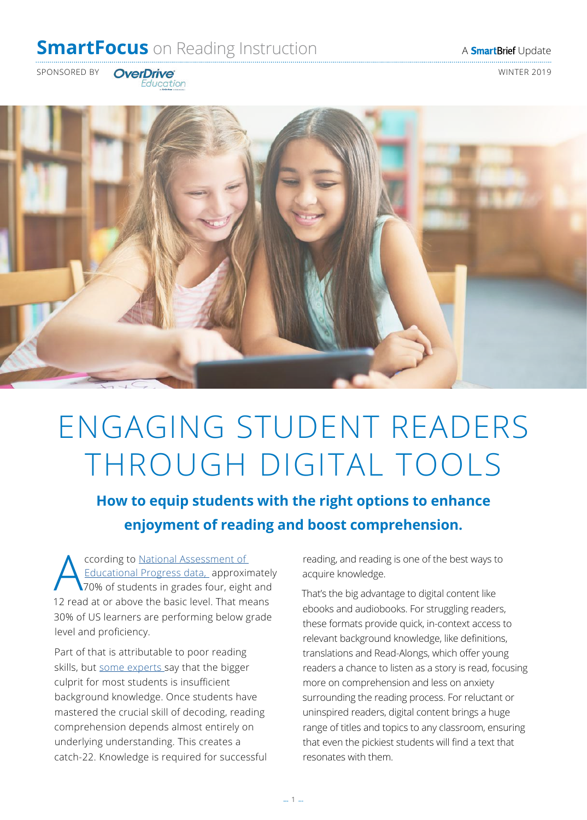## **SmartFocus** on Reading Instruction A **SmartBrief** Update

SPONSORED BY **OverDrive Example 2019 WINTER 2019** 

Education



# ENGAGING STUDENT READERS THROUGH DIGITAL TOOLS

**How to equip students with the right options to enhance enjoyment of reading and boost comprehension.**

Cording to National Assessment of<br>Educational Progress data, approximately<br>20 angle to a phase the hosis layer That me Educational Progress data, approximately 70% of students in grades four, eight and 12 read at or above the basic level. That means 30% of US learners are performing below grade level and proficiency.

Part of that is attributable to poor reading skills, but [some experts](https://www.forbes.com/sites/nataliewexler/2019/01/23/why-were-teaching-reading-comprehension-in-a-way-that-doesnt-work/#21bc681337e0) say that the bigger culprit for most students is insufficient background knowledge. Once students have mastered the crucial skill of decoding, reading comprehension depends almost entirely on underlying understanding. This creates a catch-22. Knowledge is required for successful reading, and reading is one of the best ways to acquire knowledge.

That's the big advantage to digital content like ebooks and audiobooks. For struggling readers, these formats provide quick, in-context access to relevant background knowledge, like definitions, translations and Read-Alongs, which offer young readers a chance to listen as a story is read, focusing more on comprehension and less on anxiety surrounding the reading process. For reluctant or uninspired readers, digital content brings a huge range of titles and topics to any classroom, ensuring that even the pickiest students will find a text that resonates with them.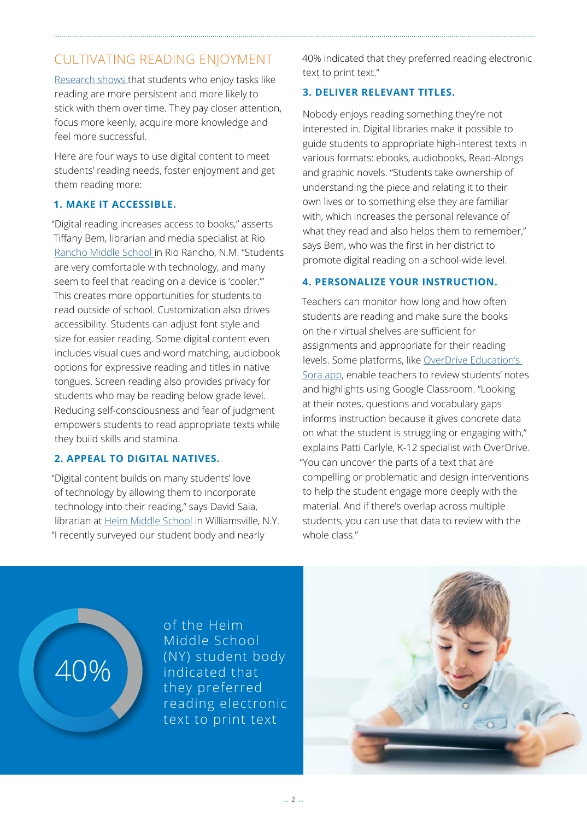## CULTIVATING READING ENJOYMENT

[Research shows](https://journals.sagepub.com/doi/10.3102/00346543070002151) that students who enjoy tasks like reading are more persistent and more likely to stick with them over time. They pay closer attention, focus more keenly, acquire more knowledge and feel more successful.

Here are four ways to use digital content to meet students' reading needs, foster enjoyment and get them reading more:

### **1. MAKE IT ACCESSIBLE.**

"Digital reading increases access to books," asserts Tiffany Bem, librarian and media specialist at Rio [Rancho Middle School i](https://rioranchomiddle.rrps.net/)n Rio Rancho, N.M. "Students are very comfortable with technology, and many seem to feel that reading on a device is 'cooler.'" This creates more opportunities for students to read outside of school. Customization also drives accessibility. Students can adjust font style and size for easier reading. Some digital content even includes visual cues and word matching, audiobook options for expressive reading and titles in native tongues. Screen reading also provides privacy for students who may be reading below grade level. Reducing self-consciousness and fear of judgment empowers students to read appropriate texts while they build skills and stamina.

### **2. APPEAL TO DIGITAL NATIVES.**

"Digital content builds on many students' love of technology by allowing them to incorporate technology into their reading," says David Saia, librarian at [Heim Middle School](https://www.williamsvillek12.org/heimmiddle/) in Williamsville, N.Y. "I recently surveyed our student body and nearly

40% indicated that they preferred reading electronic text to print text."

### **3. DELIVER RELEVANT TITLES.**

Nobody enjoys reading something they're not interested in. Digital libraries make it possible to guide students to appropriate high-interest texts in various formats: ebooks, audiobooks, Read-Alongs and graphic novels. "Students take ownership of understanding the piece and relating it to their own lives or to something else they are familiar with, which increases the personal relevance of what they read and also helps them to remember," says Bem, who was the first in her district to promote digital reading on a school-wide level.

#### **4. PERSONALIZE YOUR INSTRUCTION.**

Teachers can monitor how long and how often students are reading and make sure the books on their virtual shelves are sufficient for assignments and appropriate for their reading levels. Some platforms, like [OverDrive Education's](https://meet.soraapp.com/)  [Sora app](https://meet.soraapp.com/), enable teachers to review students' notes and highlights using Google Classroom. "Looking at their notes, questions and vocabulary gaps informs instruction because it gives concrete data on what the student is struggling or engaging with," explains Patti Carlyle, K-12 specialist with OverDrive. "You can uncover the parts of a text that are compelling or problematic and design interventions to help the student engage more deeply with the material. And if there's overlap across multiple students, you can use that data to review with the whole class."

of the [Heim](https://www.williamsvillek12.org/heimmiddle/)  [Middle School](https://www.williamsvillek12.org/heimmiddle/) (NY) student body indicated that they preferred reading electronic text to print text

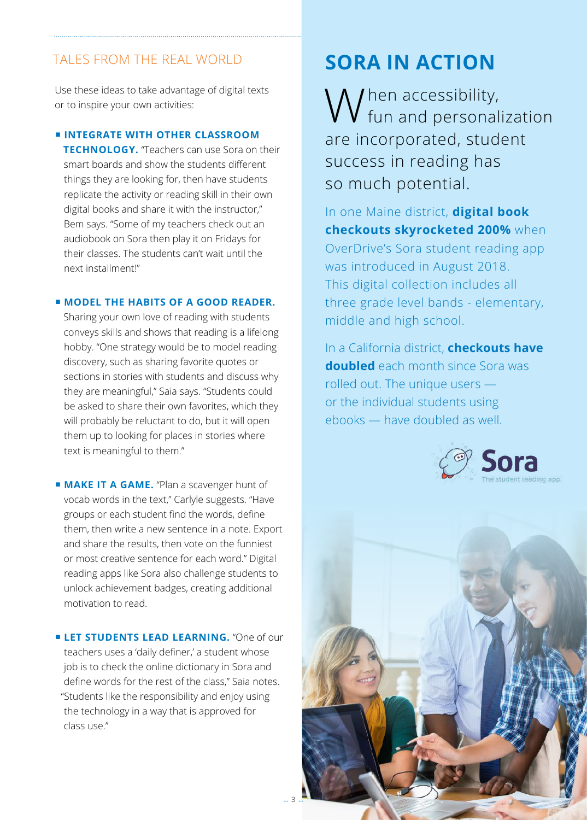## TALES FROM THE REAL WORLD

Use these ideas to take advantage of digital texts or to inspire your own activities:

#### ■ **INTEGRATE WITH OTHER CLASSROOM**

**TECHNOLOGY.** "Teachers can use Sora on their smart boards and show the students different things they are looking for, then have students replicate the activity or reading skill in their own digital books and share it with the instructor," Bem says. "Some of my teachers check out an audiobook on Sora then play it on Fridays for their classes. The students can't wait until the next installment!"

#### ■ **MODEL THE HABITS OF A GOOD READER.**

Sharing your own love of reading with students conveys skills and shows that reading is a lifelong hobby. "One strategy would be to model reading discovery, such as sharing favorite quotes or sections in stories with students and discuss why they are meaningful," Saia says. "Students could be asked to share their own favorites, which they will probably be reluctant to do, but it will open them up to looking for places in stories where text is meaningful to them."

■ **MAKE IT A GAME.** "Plan a scavenger hunt of vocab words in the text," Carlyle suggests. "Have groups or each student find the words, define them, then write a new sentence in a note. Export and share the results, then vote on the funniest or most creative sentence for each word." Digital reading apps like Sora also challenge students to unlock achievement badges, creating additional motivation to read.

**E LET STUDENTS LEAD LEARNING.** "One of our teachers uses a 'daily definer,' a student whose job is to check the online dictionary in Sora and define words for the rest of the class," Saia notes. "Students like the responsibility and enjoy using the technology in a way that is approved for class use."

## **SORA IN ACTION**

W hen accessibility,<br>W fun and personalization are incorporated, student success in reading has so much potential.

In one Maine district, **digital book checkouts skyrocketed 200%** when OverDrive's Sora student reading app was introduced in August 2018. This digital collection includes all three grade level bands - elementary, middle and high school.

In a California district, **checkouts have doubled** each month since Sora was rolled out. The unique users or the individual students using ebooks — have doubled as well.



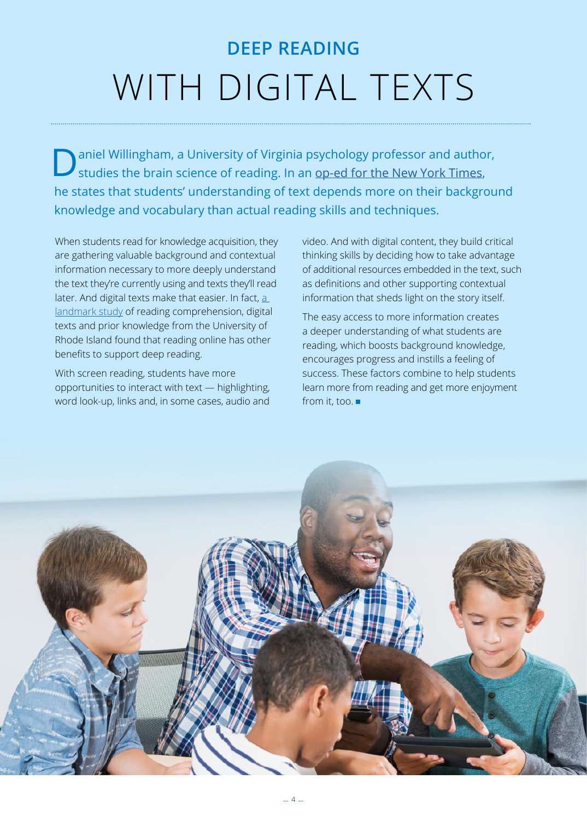# **DEEP READING**  WITH DIGITAL TEXTS

**D** aniel Willingham, a University of Virginia psychology professor and author, studies the brain science of reading. In an op-ed for the New York Times, he states that students' understanding of text depends more on their background knowledge and vocabulary than actual reading skills and techniques.

When students read for knowledge acquisition, they are gathering valuable background and contextual information necessary to more deeply understand the text they're currently using and texts they'll read later. And digital texts make that easier. In fact, a [landmark study](https://journals.sagepub.com/doi/abs/10.1177/1086296X11421979) of reading comprehension, digital texts and prior knowledge from the University of Rhode Island found that reading online has other benefits to support deep reading.

With screen reading, students have more opportunities to interact with text — highlighting, word look-up, links and, in some cases, audio and video. And with digital content, they build critical thinking skills by deciding how to take advantage of additional resources embedded in the text, such as definitions and other supporting contextual information that sheds light on the story itself.

The easy access to more information creates a deeper understanding of what students are reading, which boosts background knowledge, encourages progress and instills a feeling of success. These factors combine to help students learn more from reading and get more enjoyment from it, too.